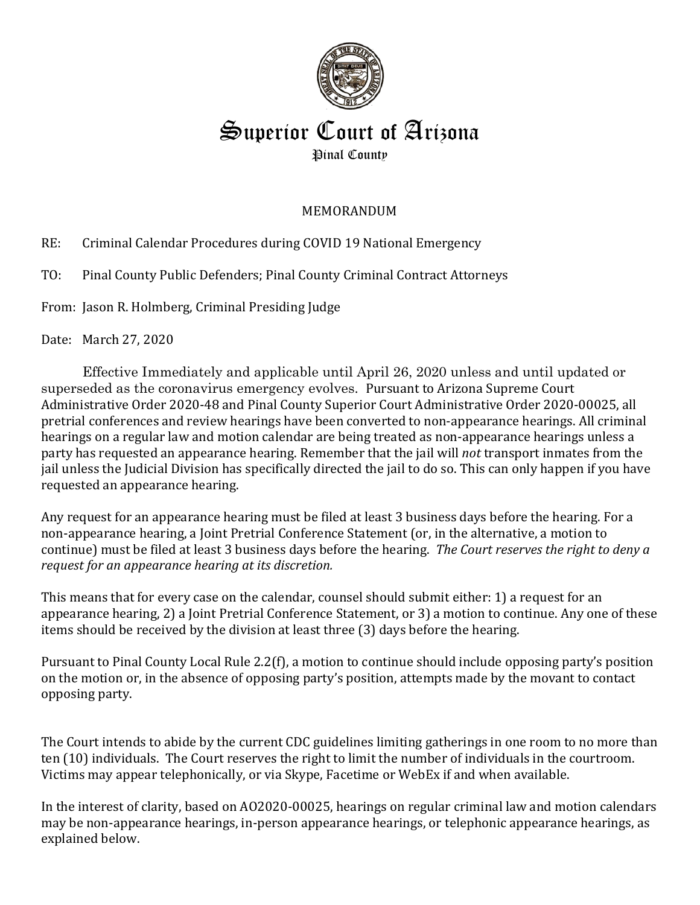

# Superior Court of Arizona Pinal County

## MEMORANDUM

RE: Criminal Calendar Procedures during COVID 19 National Emergency

TO: Pinal County Public Defenders; Pinal County Criminal Contract Attorneys

From: Jason R. Holmberg, Criminal Presiding Judge

Date: March 27, 2020

Effective Immediately and applicable until April 26, 2020 unless and until updated or superseded as the coronavirus emergency evolves. Pursuant to Arizona Supreme Court Administrative Order 2020-48 and Pinal County Superior Court Administrative Order 2020-00025, all pretrial conferences and review hearings have been converted to non-appearance hearings. All criminal hearings on a regular law and motion calendar are being treated as non-appearance hearings unless a party has requested an appearance hearing. Remember that the jail will *not* transport inmates from the jail unless the Judicial Division has specifically directed the jail to do so. This can only happen if you have requested an appearance hearing.

Any request for an appearance hearing must be filed at least 3 business days before the hearing. For a non-appearance hearing, a Joint Pretrial Conference Statement (or, in the alternative, a motion to continue) must be filed at least 3 business days before the hearing. *The Court reserves the right to deny a request for an appearance hearing at its discretion.*

This means that for every case on the calendar, counsel should submit either: 1) a request for an appearance hearing, 2) a Joint Pretrial Conference Statement, or 3) a motion to continue. Any one of these items should be received by the division at least three (3) days before the hearing.

Pursuant to Pinal County Local Rule 2.2(f), a motion to continue should include opposing party's position on the motion or, in the absence of opposing party's position, attempts made by the movant to contact opposing party.

The Court intends to abide by the current CDC guidelines limiting gatherings in one room to no more than ten (10) individuals. The Court reserves the right to limit the number of individuals in the courtroom. Victims may appear telephonically, or via Skype, Facetime or WebEx if and when available.

In the interest of clarity, based on AO2020-00025, hearings on regular criminal law and motion calendars may be non-appearance hearings, in-person appearance hearings, or telephonic appearance hearings, as explained below.